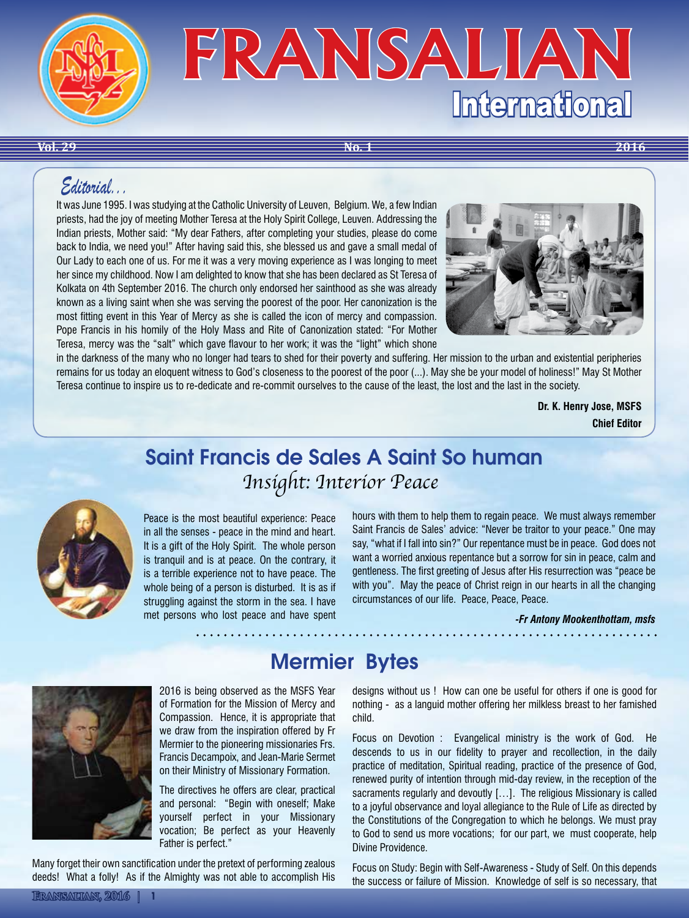

**Vol. 29 No. 1 2016**

# *Editorial...*

It was June 1995. I was studying at the Catholic University of Leuven, Belgium. We, a few Indian priests, had the joy of meeting Mother Teresa at the Holy Spirit College, Leuven. Addressing the Indian priests, Mother said: "My dear Fathers, after completing your studies, please do come back to India, we need you!" After having said this, she blessed us and gave a small medal of Our Lady to each one of us. For me it was a very moving experience as I was longing to meet her since my childhood. Now I am delighted to know that she has been declared as St Teresa of Kolkata on 4th September 2016. The church only endorsed her sainthood as she was already known as a living saint when she was serving the poorest of the poor. Her canonization is the most fitting event in this Year of Mercy as she is called the icon of mercy and compassion. Pope Francis in his homily of the Holy Mass and Rite of Canonization stated: "For Mother Teresa, mercy was the "salt" which gave flavour to her work; it was the "light" which shone



in the darkness of the many who no longer had tears to shed for their poverty and suffering. Her mission to the urban and existential peripheries remains for us today an eloquent witness to God's closeness to the poorest of the poor (...). May she be your model of holiness!" May St Mother Teresa continue to inspire us to re-dedicate and re-commit ourselves to the cause of the least, the lost and the last in the society.

> **Dr. K. Henry Jose, MSFS Chief Editor**

# Saint Francis de Sales A Saint So human *Insight: Interior Peace*



Peace is the most beautiful experience: Peace in all the senses - peace in the mind and heart. It is a gift of the Holy Spirit. The whole person is tranquil and is at peace. On the contrary, it is a terrible experience not to have peace. The whole being of a person is disturbed. It is as if struggling against the storm in the sea. I have met persons who lost peace and have spent hours with them to help them to regain peace. We must always remember Saint Francis de Sales' advice: "Never be traitor to your peace." One may say, "what if I fall into sin?" Our repentance must be in peace. God does not want a worried anxious repentance but a sorrow for sin in peace, calm and gentleness. The first greeting of Jesus after His resurrection was "peace be with you". May the peace of Christ reign in our hearts in all the changing circumstances of our life. Peace, Peace, Peace.

> *-Fr Antony Mookenthottam, msfs*



Mermier Bytes

2016 is being observed as the MSFS Year of Formation for the Mission of Mercy and Compassion. Hence, it is appropriate that we draw from the inspiration offered by Fr Mermier to the pioneering missionaries Frs. Francis Decampoix, and Jean-Marie Sermet on their Ministry of Missionary Formation.

The directives he offers are clear, practical and personal: "Begin with oneself; Make yourself perfect in your Missionary vocation; Be perfect as your Heavenly Father is perfect."

Many forget their own sanctification under the pretext of performing zealous deeds! What a folly! As if the Almighty was not able to accomplish His designs without us ! How can one be useful for others if one is good for nothing - as a languid mother offering her milkless breast to her famished child.

Focus on Devotion : Evangelical ministry is the work of God. He descends to us in our fidelity to prayer and recollection, in the daily practice of meditation, Spiritual reading, practice of the presence of God, renewed purity of intention through mid-day review, in the reception of the sacraments regularly and devoutly [...]. The religious Missionary is called to a joyful observance and loyal allegiance to the Rule of Life as directed by the Constitutions of the Congregation to which he belongs. We must pray to God to send us more vocations; for our part, we must cooperate, help Divine Providence.

Focus on Study: Begin with Self-Awareness - Study of Self. On this depends the success or failure of Mission. Knowledge of self is so necessary, that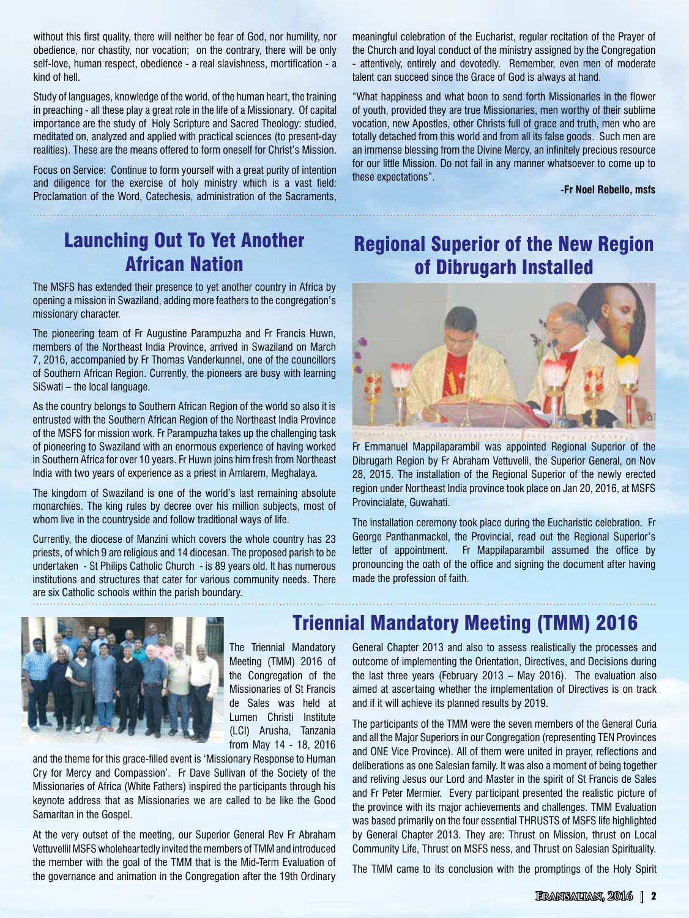without this first quality, there will neither be fear of God, nor humility, nor obedience, nor chastity, nor vocation; on the contrary, there will be only self-love, human respect, obedience - a real slavishness, mortification - a kind of hell.

Study of languages, knowledge of the world, of the human heart, the training in preaching - all these play a great role in the life of a Missionary. Of capital importance are the study of Holy Scripture and Sacred Theology: studied, meditated on, analyzed and applied with practical sciences (to present-day realities). These are the means offered to form oneself for Christ's Mission.

Focus on Service: Continue to form yourself with a great purity of intention and diligence for the exercise of holy ministry which is a vast field: Proclamation of the Word, Catechesis, administration of the Sacraments,

meaningful celebration of the Eucharist, regular recitation of the Prayer of the Church and loyal conduct of the ministry assigned by the Congregation - attentively, entirely and devotedly. Remember, even men of moderate talent can succeed since the Grace of God is always at hand.

"What happiness and what boon to send forth Missionaries in the flower of youth, provided they are true Missionaries, men worthy of their sublime vocation, new Apostles, other Christs full of grace and truth, men who are totally detached from this world and from all its false goods. Such men are an immense blessing from the Divine Mercy, an infinitely precious resource for our little Mission. Do not fail in any manner whatsoever to come up to these expectations".

**-Fr Noel Rebello, msfs**

# Launching Out To Yet Another African Nation

The MSFS has extended their presence to yet another country in Africa by opening a mission in Swaziland, adding more feathers to the congregation's missionary character.

The pioneering team of Fr Augustine Parampuzha and Fr Francis Huwn, members of the Northeast India Province, arrived in Swaziland on March 7, 2016, accompanied by Fr Thomas Vanderkunnel, one of the councillors of Southern African Region. Currently, the pioneers are busy with learning SiSwati – the local language.

As the country belongs to Southern African Region of the world so also it is entrusted with the Southern African Region of the Northeast India Province of the MSFS for mission work. Fr Parampuzha takes up the challenging task of pioneering to Swaziland with an enormous experience of having worked in Southern Africa for over 10 years. Fr Huwn joins him fresh from Northeast India with two years of experience as a priest in Amlarem, Meghalaya.

The kingdom of Swaziland is one of the world's last remaining absolute monarchies. The king rules by decree over his million subjects, most of whom live in the countryside and follow traditional ways of life.

Currently, the diocese of Manzini which covers the whole country has 23 priests, of which 9 are religious and 14 diocesan. The proposed parish to be undertaken - St Philips Catholic Church - is 89 years old. It has numerous institutions and structures that cater for various community needs. There are six Catholic schools within the parish boundary.

# Regional Superior of the New Region of Dibrugarh Installed



Fr Emmanuel Mappilaparambil was appointed Regional Superior of the Dibrugarh Region by Fr Abraham Vettuvelil, the Superior General, on Nov 28, 2015. The installation of the Regional Superior of the newly erected region under Northeast India province took place on Jan 20, 2016, at MSFS Provincialate, Guwahati.

The installation ceremony took place during the Eucharistic celebration. Fr George Panthanmackel, the Provincial, read out the Regional Superior's letter of appointment. Fr Mappilaparambil assumed the office by pronouncing the oath of the office and signing the document after having made the profession of faith.



The Triennial Mandatory Meeting (TMM) 2016 of the Congregation of the Missionaries of St Francis de Sales was held at Lumen Christi Institute (LCI) Arusha, Tanzania from May 14 - 18, 2016

and the theme for this grace-filled event is 'Missionary Response to Human Cry for Mercy and Compassion'. Fr Dave Sullivan of the Society of the Missionaries of Africa (White Fathers) inspired the participants through his keynote address that as Missionaries we are called to be like the Good Samaritan in the Gospel.

At the very outset of the meeting, our Superior General Rev Fr Abraham Vettuvellil MSFS wholeheartedly invited the members of TMM and introduced the member with the goal of the TMM that is the Mid-Term Evaluation of the governance and animation in the Congregation after the 19th Ordinary

# Triennial Mandatory Meeting (TMM) 2016

General Chapter 2013 and also to assess realistically the processes and outcome of implementing the Orientation, Directives, and Decisions during the last three years (February 2013 – May 2016). The evaluation also aimed at ascertaing whether the implementation of Directives is on track and if it will achieve its planned results by 2019.

The participants of the TMM were the seven members of the General Curia and all the Major Superiors in our Congregation (representing TEN Provinces and ONE Vice Province). All of them were united in prayer, reflections and deliberations as one Salesian family. It was also a moment of being together and reliving Jesus our Lord and Master in the spirit of St Francis de Sales and Fr Peter Mermier. Every participant presented the realistic picture of the province with its major achievements and challenges. TMM Evaluation was based primarily on the four essential THRUSTS of MSFS life highlighted by General Chapter 2013. They are: Thrust on Mission, thrust on Local Community Life, Thrust on MSFS ness, and Thrust on Salesian Spirituality.

The TMM came to its conclusion with the promptings of the Holy Spirit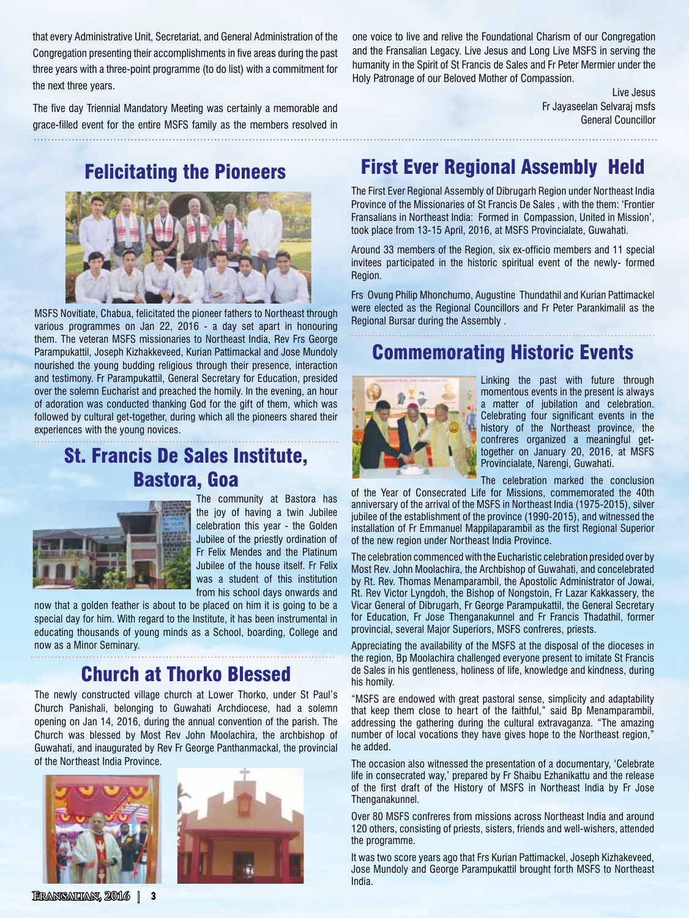that every Administrative Unit, Secretariat, and General Administration of the Congregation presenting their accomplishments in five areas during the past three years with a three-point programme (to do list) with a commitment for the next three years.

The five day Triennial Mandatory Meeting was certainly a memorable and grace-filled event for the entire MSFS family as the members resolved in

Felicitating the Pioneers



MSFS Novitiate, Chabua, felicitated the pioneer fathers to Northeast through various programmes on Jan 22, 2016 - a day set apart in honouring them. The veteran MSFS missionaries to Northeast India, Rev Frs George Parampukattil, Joseph Kizhakkeveed, Kurian Pattimackal and Jose Mundoly nourished the young budding religious through their presence, interaction and testimony. Fr Parampukattil, General Secretary for Education, presided over the solemn Eucharist and preached the homily. In the evening, an hour of adoration was conducted thanking God for the gift of them, which was followed by cultural get-together, during which all the pioneers shared their experiences with the young novices.

# St. Francis De Sales Institute, Bastora, Goa



The community at Bastora has the joy of having a twin Jubilee celebration this year - the Golden Jubilee of the priestly ordination of Fr Felix Mendes and the Platinum Jubilee of the house itself. Fr Felix was a student of this institution from his school days onwards and

now that a golden feather is about to be placed on him it is going to be a special day for him. With regard to the Institute, it has been instrumental in educating thousands of young minds as a School, boarding, College and now as a Minor Seminary.

# Church at Thorko Blessed

The newly constructed village church at Lower Thorko, under St Paul's Church Panishali, belonging to Guwahati Archdiocese, had a solemn opening on Jan 14, 2016, during the annual convention of the parish. The Church was blessed by Most Rev John Moolachira, the archbishop of Guwahati, and inaugurated by Rev Fr George Panthanmackal, the provincial of the Northeast India Province.





humanity in the Spirit of St Francis de Sales and Fr Peter Mermier under the Holy Patronage of our Beloved Mother of Compassion. Live Jesus

one voice to live and relive the Foundational Charism of our Congregation and the Fransalian Legacy. Live Jesus and Long Live MSFS in serving the

> Fr Jayaseelan Selvaraj msfs General Councillor

# First Ever Regional Assembly Held

The First Ever Regional Assembly of Dibrugarh Region under Northeast India Province of the Missionaries of St Francis De Sales , with the them: 'Frontier Fransalians in Northeast India: Formed in Compassion, United in Mission', took place from 13-15 April, 2016, at MSFS Provincialate, Guwahati.

Around 33 members of the Region, six ex-officio members and 11 special invitees participated in the historic spiritual event of the newly- formed Region.

Frs Ovung Philip Mhonchumo, Augustine Thundathil and Kurian Pattimackel were elected as the Regional Councillors and Fr Peter Parankimalil as the Regional Bursar during the Assembly .

# Commemorating Historic Events



Linking the past with future through momentous events in the present is always a matter of jubilation and celebration. Celebrating four significant events in the history of the Northeast province, the confreres organized a meaningful gettogether on January 20, 2016, at MSFS Provincialate, Narengi, Guwahati.

The celebration marked the conclusion

of the Year of Consecrated Life for Missions, commemorated the 40th anniversary of the arrival of the MSFS in Northeast India (1975-2015), silver jubilee of the establishment of the province (1990-2015), and witnessed the installation of Fr Emmanuel Mappilaparambil as the first Regional Superior of the new region under Northeast India Province.

The celebration commenced with the Eucharistic celebration presided over by Most Rev. John Moolachira, the Archbishop of Guwahati, and concelebrated by Rt. Rev. Thomas Menamparambil, the Apostolic Administrator of Jowai, Rt. Rev Victor Lyngdoh, the Bishop of Nongstoin, Fr Lazar Kakkassery, the Vicar General of Dibrugarh, Fr George Parampukattil, the General Secretary for Education, Fr Jose Thenganakunnel and Fr Francis Thadathil, former provincial, several Major Superiors, MSFS confreres, priests.

Appreciating the availability of the MSFS at the disposal of the dioceses in the region, Bp Moolachira challenged everyone present to imitate St Francis de Sales in his gentleness, holiness of life, knowledge and kindness, during his homily.

"MSFS are endowed with great pastoral sense, simplicity and adaptability that keep them close to heart of the faithful," said Bp Menamparambil, addressing the gathering during the cultural extravaganza. "The amazing number of local vocations they have gives hope to the Northeast region," he added.

The occasion also witnessed the presentation of a documentary, 'Celebrate life in consecrated way,' prepared by Fr Shaibu Ezhanikattu and the release of the first draft of the History of MSFS in Northeast India by Fr Jose Thenganakunnel.

Over 80 MSFS confreres from missions across Northeast India and around 120 others, consisting of priests, sisters, friends and well-wishers, attended the programme.

It was two score years ago that Frs Kurian Pattimackel, Joseph Kizhakeveed, Jose Mundoly and George Parampukattil brought forth MSFS to Northeast India.

**Fransalian, 2016 | 3**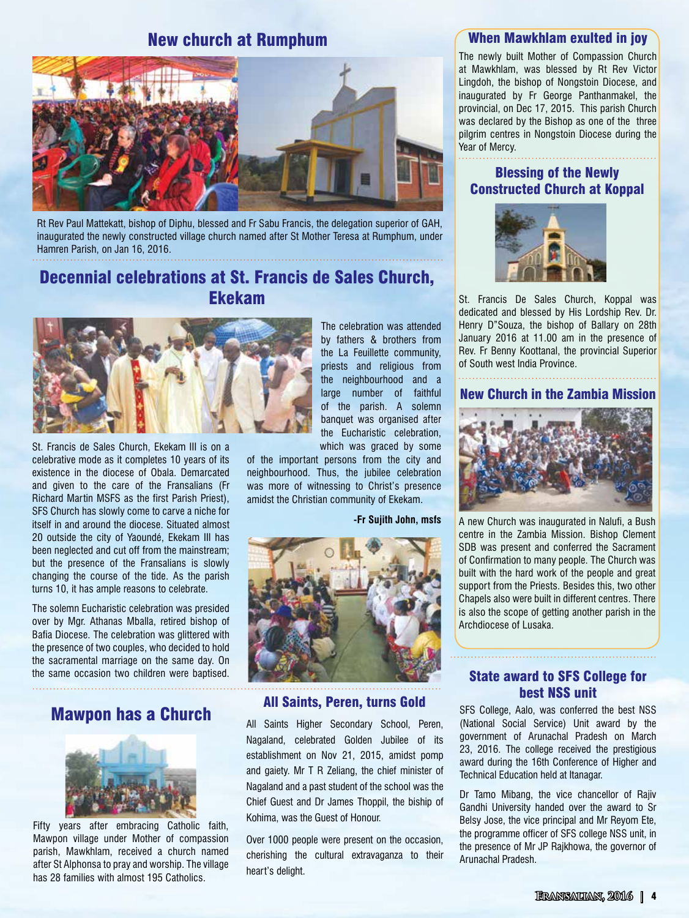### New church at Rumphum



Rt Rev Paul Mattekatt, bishop of Diphu, blessed and Fr Sabu Francis, the delegation superior of GAH, inaugurated the newly constructed village church named after St Mother Teresa at Rumphum, under Hamren Parish, on Jan 16, 2016.

## Decennial celebrations at St. Francis de Sales Church, Ekekam



St. Francis de Sales Church, Ekekam III is on a celebrative mode as it completes 10 years of its existence in the diocese of Obala. Demarcated and given to the care of the Fransalians (Fr Richard Martin MSFS as the first Parish Priest), SFS Church has slowly come to carve a niche for itself in and around the diocese. Situated almost 20 outside the city of Yaoundé, Ekekam III has been neglected and cut off from the mainstream; but the presence of the Fransalians is slowly changing the course of the tide. As the parish turns 10, it has ample reasons to celebrate.

The solemn Eucharistic celebration was presided over by Mgr. Athanas Mballa, retired bishop of Bafia Diocese. The celebration was glittered with the presence of two couples, who decided to hold the sacramental marriage on the same day. On the same occasion two children were baptised.

### Mawpon has a Church



Fifty years after embracing Catholic faith, Mawpon village under Mother of compassion parish, Mawkhlam, received a church named after St Alphonsa to pray and worship. The village has 28 families with almost 195 Catholics.

The celebration was attended by fathers & brothers from the La Feuillette community, priests and religious from the neighbourhood and a large number of faithful of the parish. A solemn banquet was organised after the Eucharistic celebration, which was graced by some

of the important persons from the city and neighbourhood. Thus, the jubilee celebration was more of witnessing to Christ's presence amidst the Christian community of Ekekam.

#### **-Fr Sujith John, msfs**



All Saints Higher Secondary School, Peren, Nagaland, celebrated Golden Jubilee of its establishment on Nov 21, 2015, amidst pomp and gaiety. Mr T R Zeliang, the chief minister of Nagaland and a past student of the school was the Chief Guest and Dr James Thoppil, the biship of Kohima, was the Guest of Honour.

Over 1000 people were present on the occasion, cherishing the cultural extravaganza to their heart's delight.

#### When Mawkhlam exulted in joy

The newly built Mother of Compassion Church at Mawkhlam, was blessed by Rt Rev Victor Lingdoh, the bishop of Nongstoin Diocese, and inaugurated by Fr George Panthanmakel, the provincial, on Dec 17, 2015. This parish Church was declared by the Bishop as one of the three pilgrim centres in Nongstoin Diocese during the Year of Mercy.

#### Blessing of the Newly Constructed Church at Koppal



St. Francis De Sales Church, Koppal was dedicated and blessed by His Lordship Rev. Dr. Henry D"Souza, the bishop of Ballary on 28th January 2016 at 11.00 am in the presence of Rev. Fr Benny Koottanal, the provincial Superior of South west India Province.

#### New Church in the Zambia Mission



A new Church was inaugurated in Nalufi, a Bush centre in the Zambia Mission. Bishop Clement SDB was present and conferred the Sacrament of Confirmation to many people. The Church was built with the hard work of the people and great support from the Priests. Besides this, two other Chapels also were built in different centres. There is also the scope of getting another parish in the Archdiocese of Lusaka.

# State award to SFS College for **best NSS unit best NSS unit All Saints, Peren, turns Gold** SFS College, Aalo, was conferred the best NSS

(National Social Service) Unit award by the government of Arunachal Pradesh on March 23, 2016. The college received the prestigious award during the 16th Conference of Higher and Technical Education held at Itanagar.

Dr Tamo Mibang, the vice chancellor of Rajiv Gandhi University handed over the award to Sr Belsy Jose, the vice principal and Mr Reyom Ete, the programme officer of SFS college NSS unit, in the presence of Mr JP Rajkhowa, the governor of Arunachal Pradesh.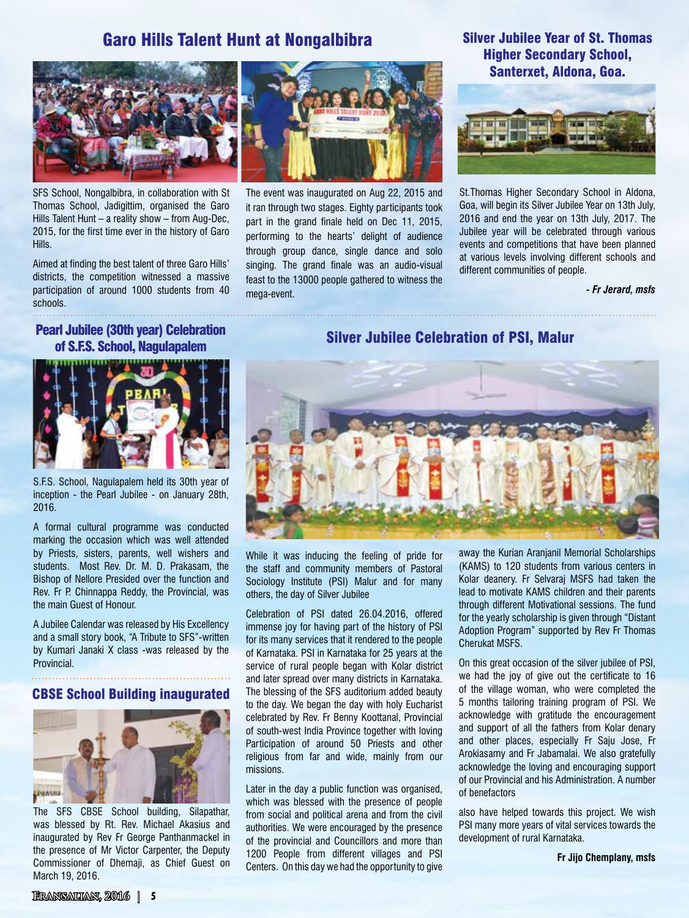## Garo Hills Talent Hunt at Nongalbibra



SFS School, Nongalbibra, in collaboration with St Thomas School, Jadigittim, organised the Garo Hills Talent Hunt – a reality show – from Aug-Dec, 2015, for the first time ever in the history of Garo Hills.

Aimed at finding the best talent of three Garo Hills' districts, the competition witnessed a massive participation of around 1000 students from 40 schools.



The event was inaugurated on Aug 22, 2015 and it ran through two stages. Eighty participants took part in the grand finale held on Dec 11, 2015, performing to the hearts' delight of audience through group dance, single dance and solo singing. The grand finale was an audio-visual feast to the 13000 people gathered to witness the mega-event.

#### Silver Jubilee Year of St. Thomas Higher Secondary School, Santerxet, Aldona, Goa.



St.Thomas Higher Secondary School in Aldona, Goa, will begin its Silver Jubilee Year on 13th July, 2016 and end the year on 13th July, 2017. The Jubilee year will be celebrated through various events and competitions that have been planned at various levels involving different schools and different communities of people.

*- Fr Jerard, msfs*

### Pearl Jubilee (30th year) Celebration of S.F.S. School, Nagulapalem



S.F.S. School, Nagulapalem held its 30th year of inception - the Pearl Jubilee - on January 28th, 2016.

A formal cultural programme was conducted marking the occasion which was well attended by Priests, sisters, parents, well wishers and students. Most Rev. Dr. M. D. Prakasam, the Bishop of Nellore Presided over the function and Rev. Fr P. Chinnappa Reddy, the Provincial, was the main Guest of Honour.

A Jubilee Calendar was released by His Excellency and a small story book, "A Tribute to SFS"-written by Kumari Janaki X class -was released by the Provincial.

#### CBSE School Building inaugurated



The SFS CBSE School building, Silapathar, was blessed by Rt. Rev. Michael Akasius and inaugurated by Rev Fr George Panthanmackel in the presence of Mr Victor Carpenter, the Deputy Commissioner of Dhemaji, as Chief Guest on March 19, 2016.

#### Silver Jubilee Celebration of PSI, Malur



While it was inducing the feeling of pride for the staff and community members of Pastoral Sociology Institute (PSI) Malur and for many others, the day of Silver Jubilee

Celebration of PSI dated 26.04.2016, offered immense joy for having part of the history of PSI for its many services that it rendered to the people of Karnataka. PSI in Karnataka for 25 years at the service of rural people began with Kolar district and later spread over many districts in Karnataka. The blessing of the SFS auditorium added beauty to the day. We began the day with holy Eucharist celebrated by Rev. Fr Benny Koottanal, Provincial of south-west India Province together with loving Participation of around 50 Priests and other religious from far and wide, mainly from our missions.

Later in the day a public function was organised, which was blessed with the presence of people from social and political arena and from the civil authorities. We were encouraged by the presence of the provincial and Councillors and more than 1200 People from different villages and PSI Centers. On this day we had the opportunity to give

away the Kurian Aranjanil Memorial Scholarships (KAMS) to 120 students from various centers in Kolar deanery. Fr Selvaraj MSFS had taken the lead to motivate KAMS children and their parents through different Motivational sessions. The fund for the yearly scholarship is given through "Distant Adoption Program" supported by Rev Fr Thomas Cherukat MSFS.

On this great occasion of the silver jubilee of PSI, we had the joy of give out the certificate to 16 of the village woman, who were completed the 5 months tailoring training program of PSI. We acknowledge with gratitude the encouragement and support of all the fathers from Kolar denary and other places, especially Fr Saju Jose, Fr Arokiasamy and Fr Jabamalai. We also gratefully acknowledge the loving and encouraging support of our Provincial and his Administration. A number of benefactors

also have helped towards this project. We wish PSI many more years of vital services towards the development of rural Karnataka.

**Fr Jijo Chemplany, msfs**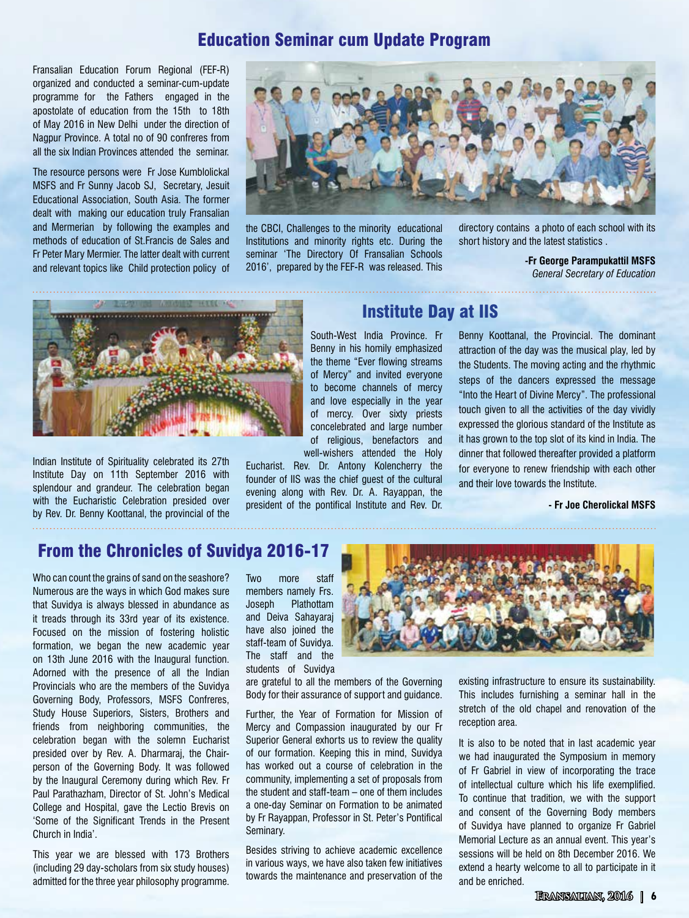## Education Seminar cum Update Program

Fransalian Education Forum Regional (FEF-R) organized and conducted a seminar-cum-update programme for the Fathers engaged in the apostolate of education from the 15th to 18th of May 2016 in New Delhi under the direction of Nagpur Province. A total no of 90 confreres from all the six Indian Provinces attended the seminar.

The resource persons were Fr Jose Kumblolickal MSFS and Fr Sunny Jacob SJ, Secretary, Jesuit Educational Association, South Asia. The former dealt with making our education truly Fransalian and Mermerian by following the examples and methods of education of St.Francis de Sales and Fr Peter Mary Mermier. The latter dealt with current and relevant topics like Child protection policy of



the CBCI, Challenges to the minority educational Institutions and minority rights etc. During the seminar 'The Directory Of Fransalian Schools 2016', prepared by the FEF-R was released. This directory contains a photo of each school with its short history and the latest statistics .

**-Fr George Parampukattil MSFS** *General Secretary of Education*



Indian Institute of Spirituality celebrated its 27th Institute Day on 11th September 2016 with splendour and grandeur. The celebration began with the Eucharistic Celebration presided over by Rev. Dr. Benny Koottanal, the provincial of the

### Institute Day at IIS

South-West India Province. Fr Benny in his homily emphasized the theme "Ever flowing streams of Mercy" and invited everyone to become channels of mercy and love especially in the year of mercy. Over sixty priests concelebrated and large number of religious, benefactors and well-wishers attended the Holy

Eucharist. Rev. Dr. Antony Kolencherry the founder of IIS was the chief guest of the cultural evening along with Rev. Dr. A. Rayappan, the president of the pontifical Institute and Rev. Dr.

Benny Koottanal, the Provincial. The dominant attraction of the day was the musical play, led by the Students. The moving acting and the rhythmic steps of the dancers expressed the message "Into the Heart of Divine Mercy". The professional touch given to all the activities of the day vividly expressed the glorious standard of the Institute as it has grown to the top slot of its kind in India. The dinner that followed thereafter provided a platform for everyone to renew friendship with each other and their love towards the Institute.

**- Fr Joe Cherolickal MSFS**

## From the Chronicles of Suvidya 2016-17

Who can count the grains of sand on the seashore? Numerous are the ways in which God makes sure that Suvidya is always blessed in abundance as it treads through its 33rd year of its existence. Focused on the mission of fostering holistic formation, we began the new academic year on 13th June 2016 with the Inaugural function. Adorned with the presence of all the Indian Provincials who are the members of the Suvidya Governing Body, Professors, MSFS Confreres, Study House Superiors, Sisters, Brothers and friends from neighboring communities, the celebration began with the solemn Eucharist presided over by Rev. A. Dharmaraj, the Chairperson of the Governing Body. It was followed by the Inaugural Ceremony during which Rev. Fr Paul Parathazham, Director of St. John's Medical College and Hospital, gave the Lectio Brevis on 'Some of the Significant Trends in the Present Church in India'.

This year we are blessed with 173 Brothers (including 29 day-scholars from six study houses) admitted for the three year philosophy programme.

Two more staff members namely Frs. Joseph Plathottam and Deiva Sahayaraj have also joined the staff-team of Suvidya. The staff and the students of Suvidya

are grateful to all the members of the Governing Body for their assurance of support and guidance.

Further, the Year of Formation for Mission of Mercy and Compassion inaugurated by our Fr Superior General exhorts us to review the quality of our formation. Keeping this in mind, Suvidya has worked out a course of celebration in the community, implementing a set of proposals from the student and staff-team – one of them includes a one-day Seminar on Formation to be animated by Fr Rayappan, Professor in St. Peter's Pontifical Seminary.

Besides striving to achieve academic excellence in various ways, we have also taken few initiatives towards the maintenance and preservation of the



existing infrastructure to ensure its sustainability. This includes furnishing a seminar hall in the stretch of the old chapel and renovation of the reception area.

It is also to be noted that in last academic year we had inaugurated the Symposium in memory of Fr Gabriel in view of incorporating the trace of intellectual culture which his life exemplified. To continue that tradition, we with the support and consent of the Governing Body members of Suvidya have planned to organize Fr Gabriel Memorial Lecture as an annual event. This year's sessions will be held on 8th December 2016. We extend a hearty welcome to all to participate in it and be enriched.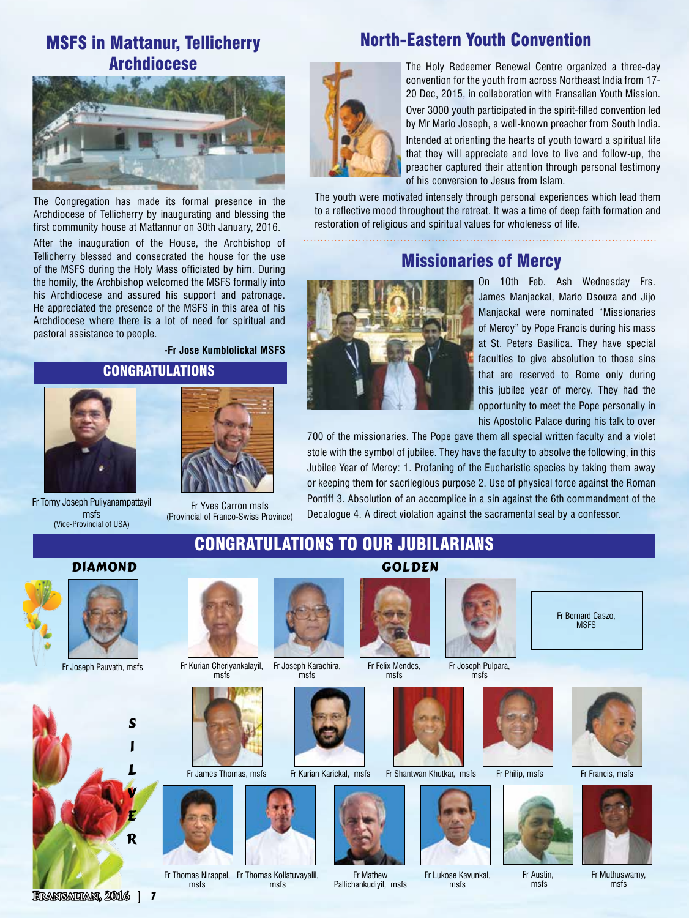## MSFS in Mattanur, Tellicherry Archdiocese



The Congregation has made its formal presence in the Archdiocese of Tellicherry by inaugurating and blessing the first community house at Mattannur on 30th January, 2016.

After the inauguration of the House, the Archbishop of Tellicherry blessed and consecrated the house for the use of the MSFS during the Holy Mass officiated by him. During the homily, the Archbishop welcomed the MSFS formally into his Archdiocese and assured his support and patronage. He appreciated the presence of the MSFS in this area of his Archdiocese where there is a lot of need for spiritual and pastoral assistance to people.

#### **CONGRATULATIONS -Fr Jose Kumblolickal MSFS**



Fr Tomy Joseph Puliyanampattayil msfs (Vice-Provincial of USA)

Fr Yves Carron msfs (Provincial of Franco-Swiss Province)



## North-Eastern Youth Convention

The Holy Redeemer Renewal Centre organized a three-day convention for the youth from across Northeast India from 17- 20 Dec, 2015, in collaboration with Fransalian Youth Mission.

Over 3000 youth participated in the spirit-filled convention led by Mr Mario Joseph, a well-known preacher from South India.

Intended at orienting the hearts of youth toward a spiritual life that they will appreciate and love to live and follow-up, the preacher captured their attention through personal testimony of his conversion to Jesus from Islam.

The youth were motivated intensely through personal experiences which lead them to a reflective mood throughout the retreat. It was a time of deep faith formation and restoration of religious and spiritual values for wholeness of life.

## Missionaries of Mercy



On 10th Feb. Ash Wednesday Frs. James Manjackal, Mario Dsouza and Jijo Manjackal were nominated "Missionaries of Mercy" by Pope Francis during his mass at St. Peters Basilica. They have special faculties to give absolution to those sins that are reserved to Rome only during this jubilee year of mercy. They had the opportunity to meet the Pope personally in his Apostolic Palace during his talk to over

700 of the missionaries. The Pope gave them all special written faculty and a violet stole with the symbol of jubilee. They have the faculty to absolve the following, in this Jubilee Year of Mercy: 1. Profaning of the Eucharistic species by taking them away or keeping them for sacrilegious purpose 2. Use of physical force against the Roman Pontiff 3. Absolution of an accomplice in a sin against the 6th commandment of the Decalogue 4. A direct violation against the sacramental seal by a confessor.

## Congratulations to our JUBILARIANS





Fr Joseph Pauvath, msfs







Fr James Thomas, msfs



Fr Thomas Nirappel, Fr Thomas Kollatuvayalil, msfs msfs





Fr Kurian Karickal, msfs



Fr Mathew Pallichankudiyil, msfs



Fr Joseph Pulpara, msfs





Fr Lukose Kavunkal, msfs



Fr Bernard Caszo,



Fr Philip, msfs Fr Francis, msfs



Fr Austin, msfs



Fr Muthuswamy, msfs



Fr Felix Mendes, msfs

**GOLDEN** 

**Fransalian, 2016 | 7**